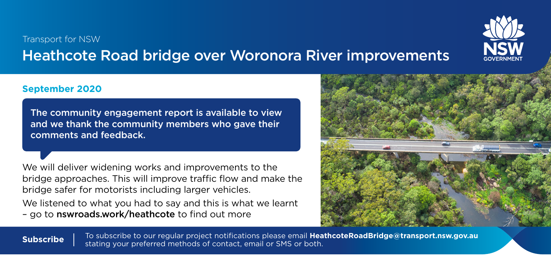## Transport for NSW Heathcote Road bridge over Woronora River improvements



## **September 2020**

The community engagement report is available to view and we thank the community members who gave their comments and feedback.

We will deliver widening works and improvements to the bridge approaches. This will improve traffic flow and make the bridge safer for motorists including larger vehicles.

We listened to what you had to say and this is what we learnt – go to [nswroads.work/heathcote](http://nswroads.work/heathcote) to find out more



To subscribe to our regular project notifications please email **[HeathcoteRoadBridge@transport.nsw.gov.au](mailto:HeathcoteRoadBridge%40transport.nsw.gov.au?subject=) Subscribe** This subscribe to our regular project notifications please email **Hea**<br>stating your preferred methods of contact, email or SMS or both.